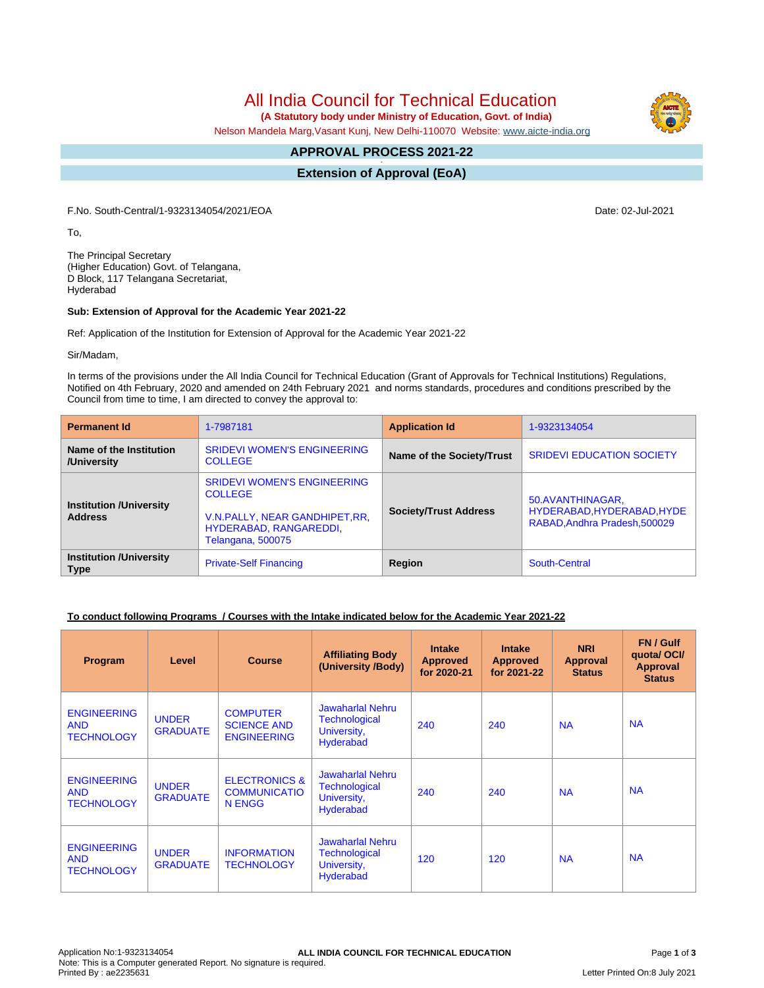All India Council for Technical Education

 **(A Statutory body under Ministry of Education, Govt. of India)**

Nelson Mandela Marg,Vasant Kunj, New Delhi-110070 Website: [www.aicte-india.org](http://www.aicte-india.org)

#### **APPROVAL PROCESS 2021-22 -**

**Extension of Approval (EoA)**

F.No. South-Central/1-9323134054/2021/EOA Date: 02-Jul-2021

To,

The Principal Secretary (Higher Education) Govt. of Telangana, D Block, 117 Telangana Secretariat, Hyderabad

### **Sub: Extension of Approval for the Academic Year 2021-22**

Ref: Application of the Institution for Extension of Approval for the Academic Year 2021-22

Sir/Madam,

In terms of the provisions under the All India Council for Technical Education (Grant of Approvals for Technical Institutions) Regulations, Notified on 4th February, 2020 and amended on 24th February 2021 and norms standards, procedures and conditions prescribed by the Council from time to time, I am directed to convey the approval to:

| <b>Permanent Id</b>                              | 1-7987181                                                                                                                             | <b>Application Id</b>        | 1-9323134054                                                                    |  |
|--------------------------------------------------|---------------------------------------------------------------------------------------------------------------------------------------|------------------------------|---------------------------------------------------------------------------------|--|
| Name of the Institution<br>/University           | <b>SRIDEVI WOMEN'S ENGINEERING</b><br><b>COLLEGE</b>                                                                                  | Name of the Society/Trust    | <b>SRIDEVI EDUCATION SOCIETY</b>                                                |  |
| <b>Institution /University</b><br><b>Address</b> | <b>SRIDEVI WOMEN'S ENGINEERING</b><br><b>COLLEGE</b><br>V.N.PALLY, NEAR GANDHIPET, RR.<br>HYDERABAD, RANGAREDDI,<br>Telangana, 500075 | <b>Society/Trust Address</b> | 50.AVANTHINAGAR,<br>HYDERABAD, HYDERABAD, HYDE<br>RABAD, Andhra Pradesh, 500029 |  |
| <b>Institution /University</b><br><b>Type</b>    | <b>Private-Self Financing</b>                                                                                                         | Region                       | South-Central                                                                   |  |

### **To conduct following Programs / Courses with the Intake indicated below for the Academic Year 2021-22**

| <b>Program</b>                                        | Level                           | <b>Course</b>                                               | <b>Affiliating Body</b><br>(University /Body)                               | <b>Intake</b><br><b>Approved</b><br>for 2020-21 | <b>Intake</b><br><b>Approved</b><br>for 2021-22 | <b>NRI</b><br>Approval<br><b>Status</b> | FN / Gulf<br>quotal OCI/<br><b>Approval</b><br><b>Status</b> |
|-------------------------------------------------------|---------------------------------|-------------------------------------------------------------|-----------------------------------------------------------------------------|-------------------------------------------------|-------------------------------------------------|-----------------------------------------|--------------------------------------------------------------|
| <b>ENGINEERING</b><br><b>AND</b><br><b>TECHNOLOGY</b> | <b>UNDER</b><br><b>GRADUATE</b> | <b>COMPUTER</b><br><b>SCIENCE AND</b><br><b>ENGINEERING</b> | Jawaharlal Nehru<br><b>Technological</b><br>University,<br><b>Hyderabad</b> | 240                                             | 240                                             | <b>NA</b>                               | <b>NA</b>                                                    |
| <b>ENGINEERING</b><br><b>AND</b><br><b>TECHNOLOGY</b> | <b>UNDER</b><br><b>GRADUATE</b> | <b>ELECTRONICS &amp;</b><br><b>COMMUNICATIO</b><br>N ENGG   | <b>Jawaharlal Nehru</b><br>Technological<br>University,<br>Hyderabad        | 240                                             | 240                                             | <b>NA</b>                               | <b>NA</b>                                                    |
| <b>ENGINEERING</b><br><b>AND</b><br><b>TECHNOLOGY</b> | <b>UNDER</b><br><b>GRADUATE</b> | <b>INFORMATION</b><br><b>TECHNOLOGY</b>                     | Jawaharlal Nehru<br>Technological<br>University,<br>Hyderabad               | 120                                             | 120                                             | <b>NA</b>                               | <b>NA</b>                                                    |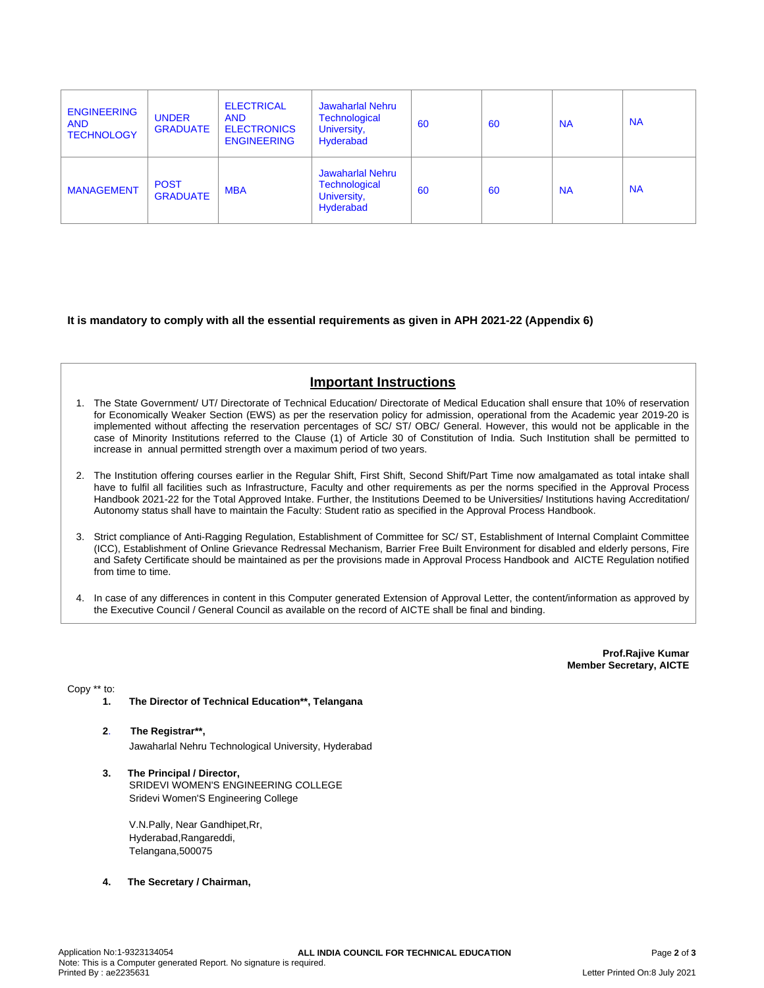| <b>ENGINEERING</b><br><b>AND</b><br><b>TECHNOLOGY</b> | <b>UNDER</b><br><b>GRADUATE</b> | <b>ELECTRICAL</b><br><b>AND</b><br><b>ELECTRONICS</b><br><b>ENGINEERING</b> | <b>Jawaharlal Nehru</b><br><b>Technological</b><br>University,<br>Hyderabad | 60 | 60 | <b>NA</b> | <b>NA</b> |
|-------------------------------------------------------|---------------------------------|-----------------------------------------------------------------------------|-----------------------------------------------------------------------------|----|----|-----------|-----------|
| <b>MANAGEMENT</b>                                     | <b>POST</b><br><b>GRADUATE</b>  | <b>MBA</b>                                                                  | <b>Jawaharlal Nehru</b><br><b>Technological</b><br>University,<br>Hyderabad | 60 | 60 | <b>NA</b> | <b>NA</b> |

**It is mandatory to comply with all the essential requirements as given in APH 2021-22 (Appendix 6)**

# **Important Instructions**

- 1. The State Government/ UT/ Directorate of Technical Education/ Directorate of Medical Education shall ensure that 10% of reservation for Economically Weaker Section (EWS) as per the reservation policy for admission, operational from the Academic year 2019-20 is implemented without affecting the reservation percentages of SC/ ST/ OBC/ General. However, this would not be applicable in the case of Minority Institutions referred to the Clause (1) of Article 30 of Constitution of India. Such Institution shall be permitted to increase in annual permitted strength over a maximum period of two years.
- 2. The Institution offering courses earlier in the Regular Shift, First Shift, Second Shift/Part Time now amalgamated as total intake shall have to fulfil all facilities such as Infrastructure, Faculty and other requirements as per the norms specified in the Approval Process Handbook 2021-22 for the Total Approved Intake. Further, the Institutions Deemed to be Universities/ Institutions having Accreditation/ Autonomy status shall have to maintain the Faculty: Student ratio as specified in the Approval Process Handbook.
- 3. Strict compliance of Anti-Ragging Regulation, Establishment of Committee for SC/ ST, Establishment of Internal Complaint Committee (ICC), Establishment of Online Grievance Redressal Mechanism, Barrier Free Built Environment for disabled and elderly persons, Fire and Safety Certificate should be maintained as per the provisions made in Approval Process Handbook and AICTE Regulation notified from time to time.
- 4. In case of any differences in content in this Computer generated Extension of Approval Letter, the content/information as approved by the Executive Council / General Council as available on the record of AICTE shall be final and binding.

**Prof.Rajive Kumar Member Secretary, AICTE**

Copy \*\* to:

- **1. The Director of Technical Education\*\*, Telangana**
- **2**. **The Registrar\*\*,** Jawaharlal Nehru Technological University, Hyderabad
- **3. The Principal / Director,** SRIDEVI WOMEN'S ENGINEERING COLLEGE Sridevi Women'S Engineering College

V.N.Pally, Near Gandhipet,Rr, Hyderabad,Rangareddi, Telangana,500075

**4. The Secretary / Chairman,**